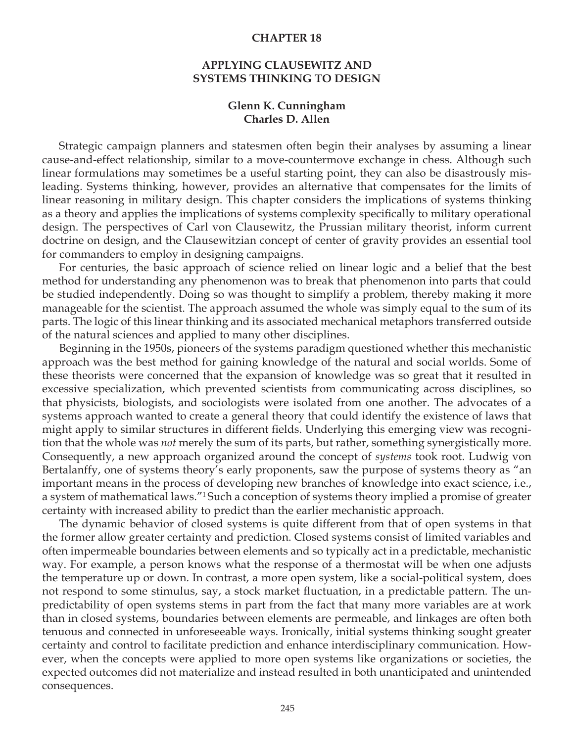### **CHAPTER 18**

# **APPLYING CLAUSEWITZ AND SYSTEMS THINKING TO DESIGN**

### **Glenn K. Cunningham Charles D. Allen**

Strategic campaign planners and statesmen often begin their analyses by assuming a linear cause-and-effect relationship, similar to a move-countermove exchange in chess. Although such linear formulations may sometimes be a useful starting point, they can also be disastrously misleading. Systems thinking, however, provides an alternative that compensates for the limits of linear reasoning in military design. This chapter considers the implications of systems thinking as a theory and applies the implications of systems complexity specifically to military operational design. The perspectives of Carl von Clausewitz, the Prussian military theorist, inform current doctrine on design, and the Clausewitzian concept of center of gravity provides an essential tool for commanders to employ in designing campaigns.

For centuries, the basic approach of science relied on linear logic and a belief that the best method for understanding any phenomenon was to break that phenomenon into parts that could be studied independently. Doing so was thought to simplify a problem, thereby making it more manageable for the scientist. The approach assumed the whole was simply equal to the sum of its parts. The logic of this linear thinking and its associated mechanical metaphors transferred outside of the natural sciences and applied to many other disciplines.

Beginning in the 1950s, pioneers of the systems paradigm questioned whether this mechanistic approach was the best method for gaining knowledge of the natural and social worlds. Some of these theorists were concerned that the expansion of knowledge was so great that it resulted in excessive specialization, which prevented scientists from communicating across disciplines, so that physicists, biologists, and sociologists were isolated from one another. The advocates of a systems approach wanted to create a general theory that could identify the existence of laws that might apply to similar structures in different fields. Underlying this emerging view was recognition that the whole was *not* merely the sum of its parts, but rather, something synergistically more. Consequently, a new approach organized around the concept of *systems* took root. Ludwig von Bertalanffy, one of systems theory's early proponents, saw the purpose of systems theory as "an important means in the process of developing new branches of knowledge into exact science, i.e., a system of mathematical laws."1 Such a conception of systems theory implied a promise of greater certainty with increased ability to predict than the earlier mechanistic approach.

The dynamic behavior of closed systems is quite different from that of open systems in that the former allow greater certainty and prediction. Closed systems consist of limited variables and often impermeable boundaries between elements and so typically act in a predictable, mechanistic way. For example, a person knows what the response of a thermostat will be when one adjusts the temperature up or down. In contrast, a more open system, like a social-political system, does not respond to some stimulus, say, a stock market fluctuation, in a predictable pattern. The unpredictability of open systems stems in part from the fact that many more variables are at work than in closed systems, boundaries between elements are permeable, and linkages are often both tenuous and connected in unforeseeable ways. Ironically, initial systems thinking sought greater certainty and control to facilitate prediction and enhance interdisciplinary communication. However, when the concepts were applied to more open systems like organizations or societies, the expected outcomes did not materialize and instead resulted in both unanticipated and unintended consequences.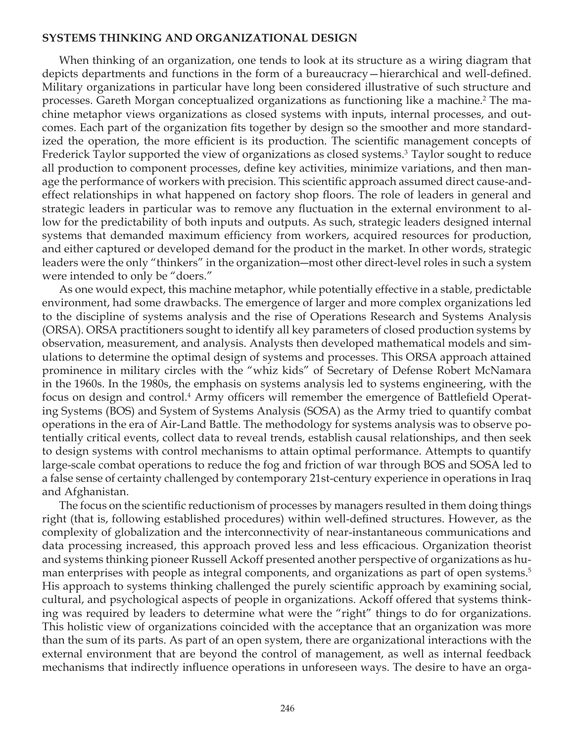## **SYSTEMS THINKING AND ORGANIZATIONAL DESIGN**

When thinking of an organization, one tends to look at its structure as a wiring diagram that depicts departments and functions in the form of a bureaucracy—hierarchical and well-defined. Military organizations in particular have long been considered illustrative of such structure and processes. Gareth Morgan conceptualized organizations as functioning like a machine.2 The machine metaphor views organizations as closed systems with inputs, internal processes, and outcomes. Each part of the organization fits together by design so the smoother and more standardized the operation, the more efficient is its production. The scientific management concepts of Frederick Taylor supported the view of organizations as closed systems.<sup>3</sup> Taylor sought to reduce all production to component processes, define key activities, minimize variations, and then manage the performance of workers with precision. This scientific approach assumed direct cause-andeffect relationships in what happened on factory shop floors. The role of leaders in general and strategic leaders in particular was to remove any fluctuation in the external environment to allow for the predictability of both inputs and outputs. As such, strategic leaders designed internal systems that demanded maximum efficiency from workers, acquired resources for production, and either captured or developed demand for the product in the market. In other words, strategic leaders were the only "thinkers" in the organization―most other direct-level roles in such a system were intended to only be "doers."

As one would expect, this machine metaphor, while potentially effective in a stable, predictable environment, had some drawbacks. The emergence of larger and more complex organizations led to the discipline of systems analysis and the rise of Operations Research and Systems Analysis (ORSA). ORSA practitioners sought to identify all key parameters of closed production systems by observation, measurement, and analysis. Analysts then developed mathematical models and simulations to determine the optimal design of systems and processes. This ORSA approach attained prominence in military circles with the "whiz kids" of Secretary of Defense Robert McNamara in the 1960s. In the 1980s, the emphasis on systems analysis led to systems engineering, with the focus on design and control.4 Army officers will remember the emergence of Battlefield Operating Systems (BOS) and System of Systems Analysis (SOSA) as the Army tried to quantify combat operations in the era of Air-Land Battle. The methodology for systems analysis was to observe potentially critical events, collect data to reveal trends, establish causal relationships, and then seek to design systems with control mechanisms to attain optimal performance. Attempts to quantify large-scale combat operations to reduce the fog and friction of war through BOS and SOSA led to a false sense of certainty challenged by contemporary 21st-century experience in operations in Iraq and Afghanistan.

The focus on the scientific reductionism of processes by managers resulted in them doing things right (that is, following established procedures) within well-defined structures. However, as the complexity of globalization and the interconnectivity of near-instantaneous communications and data processing increased, this approach proved less and less efficacious. Organization theorist and systems thinking pioneer Russell Ackoff presented another perspective of organizations as human enterprises with people as integral components, and organizations as part of open systems.<sup>5</sup> His approach to systems thinking challenged the purely scientific approach by examining social, cultural, and psychological aspects of people in organizations. Ackoff offered that systems thinking was required by leaders to determine what were the "right" things to do for organizations. This holistic view of organizations coincided with the acceptance that an organization was more than the sum of its parts. As part of an open system, there are organizational interactions with the external environment that are beyond the control of management, as well as internal feedback mechanisms that indirectly influence operations in unforeseen ways. The desire to have an orga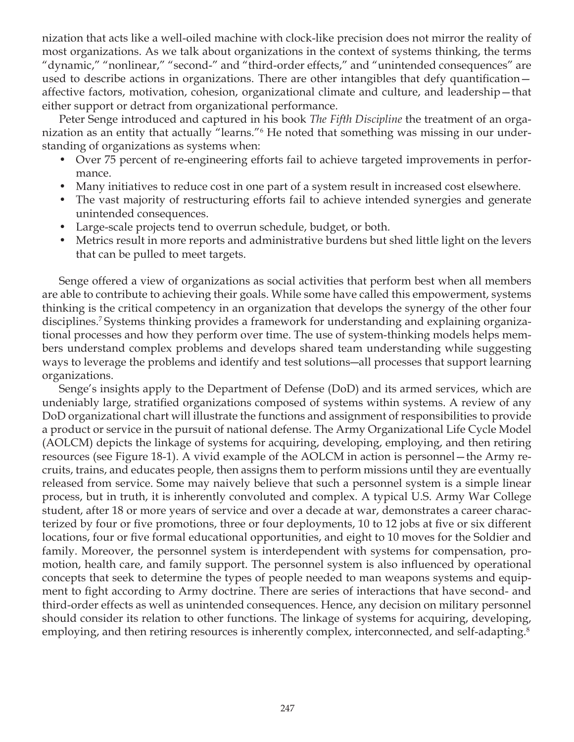nization that acts like a well-oiled machine with clock-like precision does not mirror the reality of most organizations. As we talk about organizations in the context of systems thinking, the terms "dynamic," "nonlinear," "second-" and "third-order effects," and "unintended consequences" are used to describe actions in organizations. There are other intangibles that defy quantification affective factors, motivation, cohesion, organizational climate and culture, and leadership—that either support or detract from organizational performance.

Peter Senge introduced and captured in his book *The Fifth Discipline* the treatment of an organization as an entity that actually "learns."6 He noted that something was missing in our understanding of organizations as systems when:

- Over 75 percent of re-engineering efforts fail to achieve targeted improvements in performance.
- Many initiatives to reduce cost in one part of a system result in increased cost elsewhere.
- The vast majority of restructuring efforts fail to achieve intended synergies and generate unintended consequences.
- Large-scale projects tend to overrun schedule, budget, or both.
- Metrics result in more reports and administrative burdens but shed little light on the levers that can be pulled to meet targets.

Senge offered a view of organizations as social activities that perform best when all members are able to contribute to achieving their goals. While some have called this empowerment, systems thinking is the critical competency in an organization that develops the synergy of the other four disciplines.7 Systems thinking provides a framework for understanding and explaining organizational processes and how they perform over time. The use of system-thinking models helps members understand complex problems and develops shared team understanding while suggesting ways to leverage the problems and identify and test solutions―all processes that support learning organizations.

Senge's insights apply to the Department of Defense (DoD) and its armed services, which are undeniably large, stratified organizations composed of systems within systems. A review of any DoD organizational chart will illustrate the functions and assignment of responsibilities to provide a product or service in the pursuit of national defense. The Army Organizational Life Cycle Model (AOLCM) depicts the linkage of systems for acquiring, developing, employing, and then retiring resources (see Figure 18-1). A vivid example of the AOLCM in action is personnel—the Army recruits, trains, and educates people, then assigns them to perform missions until they are eventually released from service. Some may naively believe that such a personnel system is a simple linear process, but in truth, it is inherently convoluted and complex. A typical U.S. Army War College student, after 18 or more years of service and over a decade at war, demonstrates a career characterized by four or five promotions, three or four deployments, 10 to 12 jobs at five or six different locations, four or five formal educational opportunities, and eight to 10 moves for the Soldier and family. Moreover, the personnel system is interdependent with systems for compensation, promotion, health care, and family support. The personnel system is also influenced by operational concepts that seek to determine the types of people needed to man weapons systems and equipment to fight according to Army doctrine. There are series of interactions that have second- and third-order effects as well as unintended consequences. Hence, any decision on military personnel should consider its relation to other functions. The linkage of systems for acquiring, developing, employing, and then retiring resources is inherently complex, interconnected, and self-adapting.<sup>8</sup>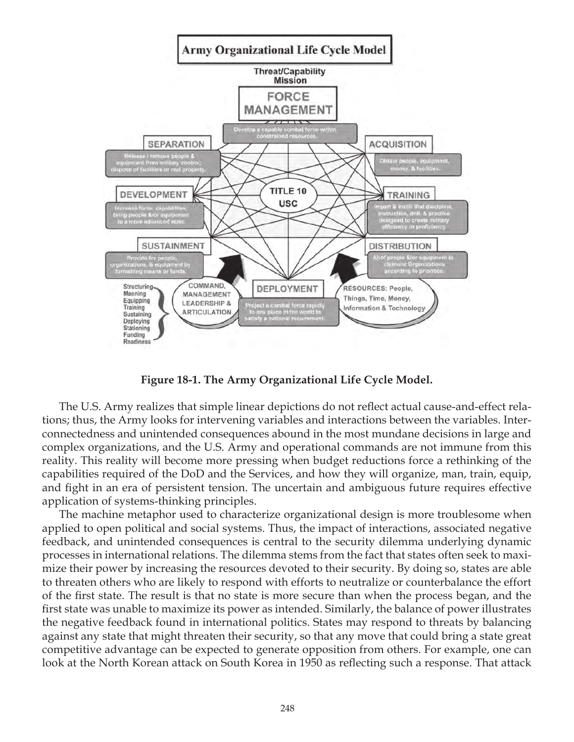

**Figure 18-1. The Army Organizational Life Cycle Model.**

The U.S. Army realizes that simple linear depictions do not reflect actual cause-and-effect relations; thus, the Army looks for intervening variables and interactions between the variables. Interconnectedness and unintended consequences abound in the most mundane decisions in large and complex organizations, and the U.S. Army and operational commands are not immune from this reality. This reality will become more pressing when budget reductions force a rethinking of the capabilities required of the DoD and the Services, and how they will organize, man, train, equip, and fight in an era of persistent tension. The uncertain and ambiguous future requires effective application of systems-thinking principles.

The machine metaphor used to characterize organizational design is more troublesome when applied to open political and social systems. Thus, the impact of interactions, associated negative feedback, and unintended consequences is central to the security dilemma underlying dynamic processes in international relations. The dilemma stems from the fact that states often seek to maximize their power by increasing the resources devoted to their security. By doing so, states are able to threaten others who are likely to respond with efforts to neutralize or counterbalance the effort of the first state. The result is that no state is more secure than when the process began, and the first state was unable to maximize its power as intended. Similarly, the balance of power illustrates the negative feedback found in international politics. States may respond to threats by balancing against any state that might threaten their security, so that any move that could bring a state great competitive advantage can be expected to generate opposition from others. For example, one can look at the North Korean attack on South Korea in 1950 as reflecting such a response. That attack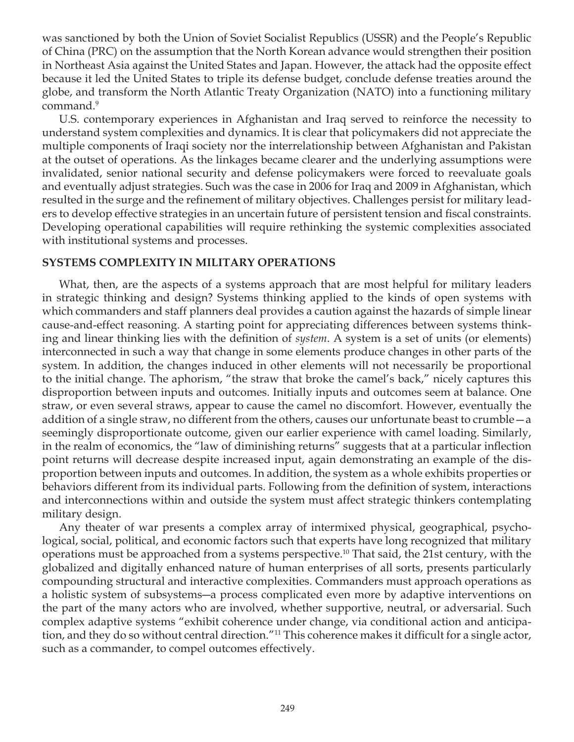was sanctioned by both the Union of Soviet Socialist Republics (USSR) and the People's Republic of China (PRC) on the assumption that the North Korean advance would strengthen their position in Northeast Asia against the United States and Japan. However, the attack had the opposite effect because it led the United States to triple its defense budget, conclude defense treaties around the globe, and transform the North Atlantic Treaty Organization (NATO) into a functioning military command.<sup>9</sup>

U.S. contemporary experiences in Afghanistan and Iraq served to reinforce the necessity to understand system complexities and dynamics. It is clear that policymakers did not appreciate the multiple components of Iraqi society nor the interrelationship between Afghanistan and Pakistan at the outset of operations. As the linkages became clearer and the underlying assumptions were invalidated, senior national security and defense policymakers were forced to reevaluate goals and eventually adjust strategies. Such was the case in 2006 for Iraq and 2009 in Afghanistan, which resulted in the surge and the refinement of military objectives. Challenges persist for military leaders to develop effective strategies in an uncertain future of persistent tension and fiscal constraints. Developing operational capabilities will require rethinking the systemic complexities associated with institutional systems and processes.

# **SYSTEMS COMPLEXITY IN MILITARY OPERATIONS**

What, then, are the aspects of a systems approach that are most helpful for military leaders in strategic thinking and design? Systems thinking applied to the kinds of open systems with which commanders and staff planners deal provides a caution against the hazards of simple linear cause-and-effect reasoning. A starting point for appreciating differences between systems thinking and linear thinking lies with the definition of *system*. A system is a set of units (or elements) interconnected in such a way that change in some elements produce changes in other parts of the system. In addition, the changes induced in other elements will not necessarily be proportional to the initial change. The aphorism, "the straw that broke the camel's back," nicely captures this disproportion between inputs and outcomes. Initially inputs and outcomes seem at balance. One straw, or even several straws, appear to cause the camel no discomfort. However, eventually the addition of a single straw, no different from the others, causes our unfortunate beast to crumble—a seemingly disproportionate outcome, given our earlier experience with camel loading. Similarly, in the realm of economics, the "law of diminishing returns" suggests that at a particular inflection point returns will decrease despite increased input, again demonstrating an example of the disproportion between inputs and outcomes. In addition, the system as a whole exhibits properties or behaviors different from its individual parts. Following from the definition of system, interactions and interconnections within and outside the system must affect strategic thinkers contemplating military design.

Any theater of war presents a complex array of intermixed physical, geographical, psychological, social, political, and economic factors such that experts have long recognized that military operations must be approached from a systems perspective.<sup>10</sup> That said, the 21st century, with the globalized and digitally enhanced nature of human enterprises of all sorts, presents particularly compounding structural and interactive complexities. Commanders must approach operations as a holistic system of subsystems―a process complicated even more by adaptive interventions on the part of the many actors who are involved, whether supportive, neutral, or adversarial. Such complex adaptive systems "exhibit coherence under change, via conditional action and anticipation, and they do so without central direction."<sup>11</sup> This coherence makes it difficult for a single actor, such as a commander, to compel outcomes effectively.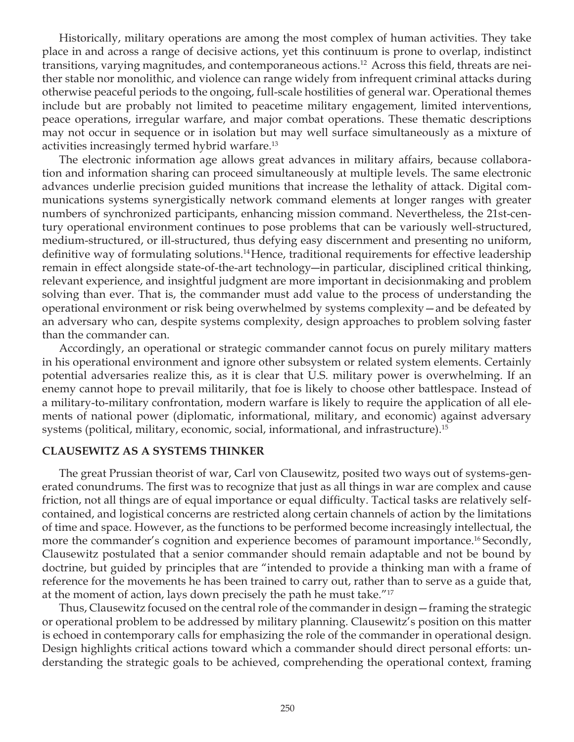Historically, military operations are among the most complex of human activities. They take place in and across a range of decisive actions, yet this continuum is prone to overlap, indistinct transitions, varying magnitudes, and contemporaneous actions.12 Across this field, threats are neither stable nor monolithic, and violence can range widely from infrequent criminal attacks during otherwise peaceful periods to the ongoing, full-scale hostilities of general war. Operational themes include but are probably not limited to peacetime military engagement, limited interventions, peace operations, irregular warfare, and major combat operations. These thematic descriptions may not occur in sequence or in isolation but may well surface simultaneously as a mixture of activities increasingly termed hybrid warfare.13

The electronic information age allows great advances in military affairs, because collaboration and information sharing can proceed simultaneously at multiple levels. The same electronic advances underlie precision guided munitions that increase the lethality of attack. Digital communications systems synergistically network command elements at longer ranges with greater numbers of synchronized participants, enhancing mission command. Nevertheless, the 21st-century operational environment continues to pose problems that can be variously well-structured, medium-structured, or ill-structured, thus defying easy discernment and presenting no uniform, definitive way of formulating solutions.14Hence, traditional requirements for effective leadership remain in effect alongside state-of-the-art technology―in particular, disciplined critical thinking, relevant experience, and insightful judgment are more important in decisionmaking and problem solving than ever. That is, the commander must add value to the process of understanding the operational environment or risk being overwhelmed by systems complexity—and be defeated by an adversary who can, despite systems complexity, design approaches to problem solving faster than the commander can.

Accordingly, an operational or strategic commander cannot focus on purely military matters in his operational environment and ignore other subsystem or related system elements. Certainly potential adversaries realize this, as it is clear that U.S. military power is overwhelming. If an enemy cannot hope to prevail militarily, that foe is likely to choose other battlespace. Instead of a military-to-military confrontation, modern warfare is likely to require the application of all elements of national power (diplomatic, informational, military, and economic) against adversary systems (political, military, economic, social, informational, and infrastructure).<sup>15</sup>

### **CLAUSEWITZ AS A SYSTEMS THINKER**

The great Prussian theorist of war, Carl von Clausewitz, posited two ways out of systems-generated conundrums. The first was to recognize that just as all things in war are complex and cause friction, not all things are of equal importance or equal difficulty. Tactical tasks are relatively selfcontained, and logistical concerns are restricted along certain channels of action by the limitations of time and space. However, as the functions to be performed become increasingly intellectual, the more the commander's cognition and experience becomes of paramount importance.<sup>16</sup> Secondly, Clausewitz postulated that a senior commander should remain adaptable and not be bound by doctrine, but guided by principles that are "intended to provide a thinking man with a frame of reference for the movements he has been trained to carry out, rather than to serve as a guide that, at the moment of action, lays down precisely the path he must take."<sup>17</sup>

Thus, Clausewitz focused on the central role of the commander in design—framing the strategic or operational problem to be addressed by military planning. Clausewitz's position on this matter is echoed in contemporary calls for emphasizing the role of the commander in operational design. Design highlights critical actions toward which a commander should direct personal efforts: understanding the strategic goals to be achieved, comprehending the operational context, framing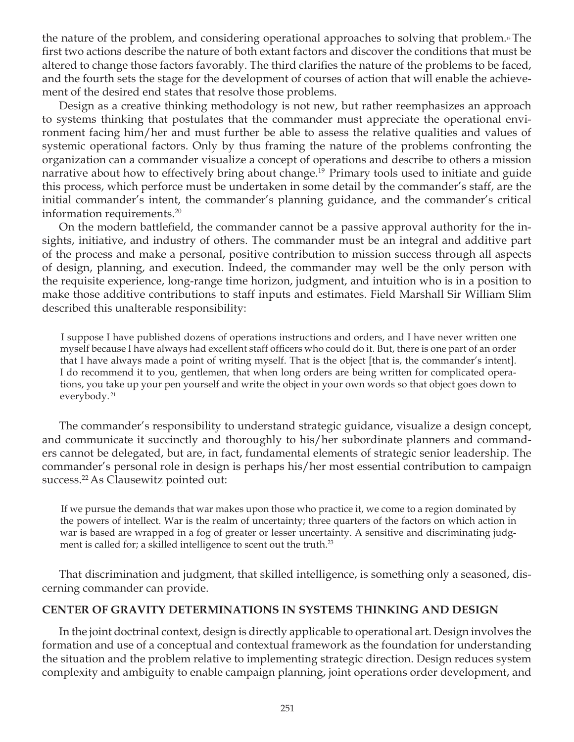the nature of the problem, and considering operational approaches to solving that problem.<sup>18</sup> The first two actions describe the nature of both extant factors and discover the conditions that must be altered to change those factors favorably. The third clarifies the nature of the problems to be faced, and the fourth sets the stage for the development of courses of action that will enable the achievement of the desired end states that resolve those problems.

Design as a creative thinking methodology is not new, but rather reemphasizes an approach to systems thinking that postulates that the commander must appreciate the operational environment facing him/her and must further be able to assess the relative qualities and values of systemic operational factors. Only by thus framing the nature of the problems confronting the organization can a commander visualize a concept of operations and describe to others a mission narrative about how to effectively bring about change.<sup>19</sup> Primary tools used to initiate and guide this process, which perforce must be undertaken in some detail by the commander's staff, are the initial commander's intent, the commander's planning guidance, and the commander's critical information requirements.20

On the modern battlefield, the commander cannot be a passive approval authority for the insights, initiative, and industry of others. The commander must be an integral and additive part of the process and make a personal, positive contribution to mission success through all aspects of design, planning, and execution. Indeed, the commander may well be the only person with the requisite experience, long-range time horizon, judgment, and intuition who is in a position to make those additive contributions to staff inputs and estimates. Field Marshall Sir William Slim described this unalterable responsibility:

I suppose I have published dozens of operations instructions and orders, and I have never written one myself because I have always had excellent staff officers who could do it. But, there is one part of an order that I have always made a point of writing myself. That is the object [that is, the commander's intent]. I do recommend it to you, gentlemen, that when long orders are being written for complicated operations, you take up your pen yourself and write the object in your own words so that object goes down to everybody. <sup>21</sup>

The commander's responsibility to understand strategic guidance, visualize a design concept, and communicate it succinctly and thoroughly to his/her subordinate planners and commanders cannot be delegated, but are, in fact, fundamental elements of strategic senior leadership. The commander's personal role in design is perhaps his/her most essential contribution to campaign success.<sup>22</sup> As Clausewitz pointed out:

If we pursue the demands that war makes upon those who practice it, we come to a region dominated by the powers of intellect. War is the realm of uncertainty; three quarters of the factors on which action in war is based are wrapped in a fog of greater or lesser uncertainty. A sensitive and discriminating judgment is called for; a skilled intelligence to scent out the truth.<sup>23</sup>

That discrimination and judgment, that skilled intelligence, is something only a seasoned, discerning commander can provide.

# **CENTER OF GRAVITY DETERMINATIONS IN SYSTEMS THINKING AND DESIGN**

In the joint doctrinal context, design is directly applicable to operational art. Design involves the formation and use of a conceptual and contextual framework as the foundation for understanding the situation and the problem relative to implementing strategic direction. Design reduces system complexity and ambiguity to enable campaign planning, joint operations order development, and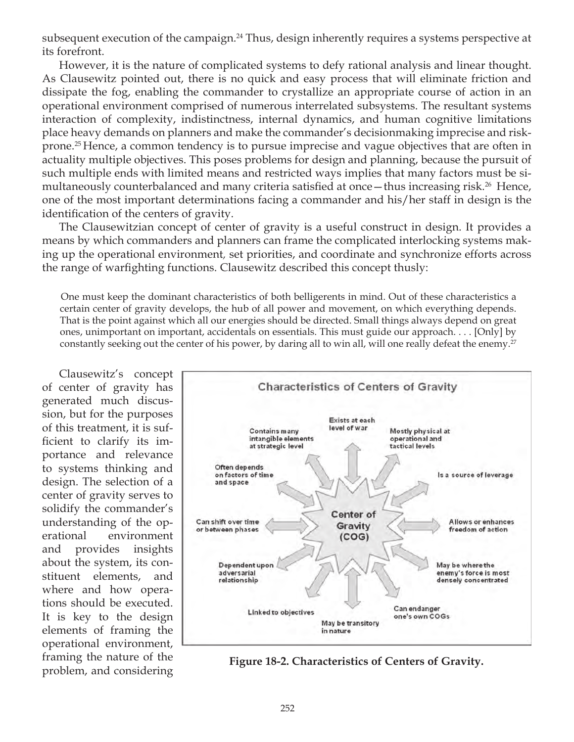subsequent execution of the campaign.<sup>24</sup> Thus, design inherently requires a systems perspective at its forefront.

However, it is the nature of complicated systems to defy rational analysis and linear thought. As Clausewitz pointed out, there is no quick and easy process that will eliminate friction and dissipate the fog, enabling the commander to crystallize an appropriate course of action in an operational environment comprised of numerous interrelated subsystems. The resultant systems interaction of complexity, indistinctness, internal dynamics, and human cognitive limitations place heavy demands on planners and make the commander's decisionmaking imprecise and riskprone.25 Hence, a common tendency is to pursue imprecise and vague objectives that are often in actuality multiple objectives. This poses problems for design and planning, because the pursuit of such multiple ends with limited means and restricted ways implies that many factors must be simultaneously counterbalanced and many criteria satisfied at once—thus increasing risk.<sup>26</sup> Hence, one of the most important determinations facing a commander and his/her staff in design is the identification of the centers of gravity.

The Clausewitzian concept of center of gravity is a useful construct in design. It provides a means by which commanders and planners can frame the complicated interlocking systems making up the operational environment*,* set priorities, and coordinate and synchronize efforts across the range of warfighting functions. Clausewitz described this concept thusly:

One must keep the dominant characteristics of both belligerents in mind. Out of these characteristics a certain center of gravity develops, the hub of all power and movement, on which everything depends. That is the point against which all our energies should be directed. Small things always depend on great ones, unimportant on important, accidentals on essentials. This must guide our approach. . . . [Only] by constantly seeking out the center of his power, by daring all to win all, will one really defeat the enemy.<sup>27</sup>

Clausewitz's concept of center of gravity has generated much discussion, but for the purposes of this treatment, it is sufficient to clarify its importance and relevance to systems thinking and design. The selection of a center of gravity serves to solidify the commander's understanding of the operational environment and provides insights about the system, its constituent elements, and where and how operations should be executed. It is key to the design elements of framing the operational environment, framing the nature of the



problem, and considering **Figure 18-2. Characteristics of Centers of Gravity.**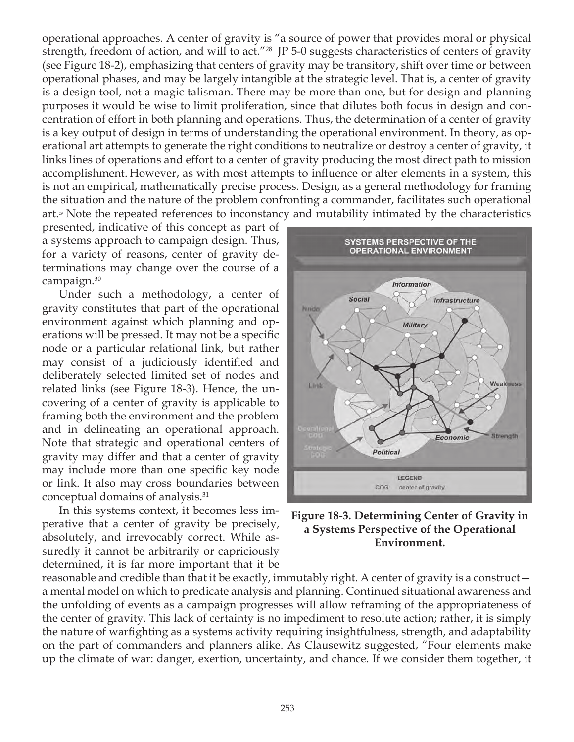operational approaches. A center of gravity is "a source of power that provides moral or physical strength, freedom of action, and will to act.<sup>"28</sup> JP 5-0 suggests characteristics of centers of gravity (see Figure 18-2), emphasizing that centers of gravity may be transitory, shift over time or between operational phases, and may be largely intangible at the strategic level. That is, a center of gravity is a design tool, not a magic talisman. There may be more than one, but for design and planning purposes it would be wise to limit proliferation, since that dilutes both focus in design and concentration of effort in both planning and operations. Thus, the determination of a center of gravity is a key output of design in terms of understanding the operational environment. In theory, as operational art attempts to generate the right conditions to neutralize or destroy a center of gravity, it links lines of operations and effort to a center of gravity producing the most direct path to mission accomplishment. However, as with most attempts to influence or alter elements in a system, this is not an empirical, mathematically precise process. Design, as a general methodology for framing the situation and the nature of the problem confronting a commander, facilitates such operational art.» Note the repeated references to inconstancy and mutability intimated by the characteristics

presented, indicative of this concept as part of a systems approach to campaign design. Thus, for a variety of reasons, center of gravity determinations may change over the course of a campaign.<sup>30</sup>

Under such a methodology, a center of gravity constitutes that part of the operational environment against which planning and operations will be pressed. It may not be a specific node or a particular relational link, but rather may consist of a judiciously identified and deliberately selected limited set of nodes and related links (see Figure 18-3). Hence, the uncovering of a center of gravity is applicable to framing both the environment and the problem and in delineating an operational approach. Note that strategic and operational centers of gravity may differ and that a center of gravity may include more than one specific key node or link. It also may cross boundaries between conceptual domains of analysis.31

In this systems context, it becomes less imperative that a center of gravity be precisely, absolutely, and irrevocably correct. While assuredly it cannot be arbitrarily or capriciously determined, it is far more important that it be



**Figure 18-3. Determining Center of Gravity in a Systems Perspective of the Operational Environment.**

reasonable and credible than that it be exactly, immutably right. A center of gravity is a construct a mental model on which to predicate analysis and planning. Continued situational awareness and the unfolding of events as a campaign progresses will allow reframing of the appropriateness of the center of gravity. This lack of certainty is no impediment to resolute action; rather, it is simply the nature of warfighting as a systems activity requiring insightfulness, strength, and adaptability on the part of commanders and planners alike. As Clausewitz suggested, "Four elements make up the climate of war: danger, exertion, uncertainty, and chance. If we consider them together, it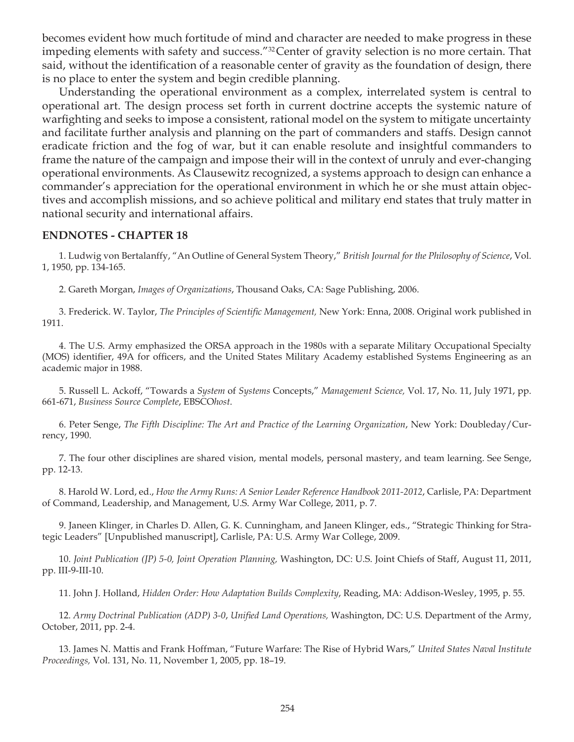becomes evident how much fortitude of mind and character are needed to make progress in these impeding elements with safety and success."32Center of gravity selection is no more certain. That said, without the identification of a reasonable center of gravity as the foundation of design, there is no place to enter the system and begin credible planning.

Understanding the operational environment as a complex, interrelated system is central to operational art. The design process set forth in current doctrine accepts the systemic nature of warfighting and seeks to impose a consistent, rational model on the system to mitigate uncertainty and facilitate further analysis and planning on the part of commanders and staffs. Design cannot eradicate friction and the fog of war, but it can enable resolute and insightful commanders to frame the nature of the campaign and impose their will in the context of unruly and ever-changing operational environments. As Clausewitz recognized, a systems approach to design can enhance a commander's appreciation for the operational environment in which he or she must attain objectives and accomplish missions, and so achieve political and military end states that truly matter in national security and international affairs.

#### **ENDNOTES - CHAPTER 18**

1. Ludwig von Bertalanffy, "An Outline of General System Theory," *British Journal for the Philosophy of Science*, Vol. 1, 1950, pp. 134-165.

2. Gareth Morgan, *Images of Organizations*, Thousand Oaks, CA: Sage Publishing, 2006.

3. Frederick. W. Taylor, *The Principles of Scientific Management,* New York: Enna, 2008. Original work published in 1911.

4. The U.S. Army emphasized the ORSA approach in the 1980s with a separate Military Occupational Specialty (MOS) identifier, 49A for officers, and the United States Military Academy established Systems Engineering as an academic major in 1988.

5. Russell L. Ackoff, "Towards a *System* of *Systems* Concepts," *Management Science,* Vol. 17, No. 11, July 1971, pp. 661-671, *Business Source Complete*, EBSCO*host*.

6. Peter Senge, *The Fifth Discipline: The Art and Practice of the Learning Organization*, New York: Doubleday/Currency, 1990.

7. The four other disciplines are shared vision, mental models, personal mastery, and team learning. See Senge, pp. 12-13.

8. Harold W. Lord, ed., *How the Army Runs: A Senior Leader Reference Handbook 2011-2012*, Carlisle, PA: Department of Command, Leadership, and Management, U.S. Army War College, 2011, p. 7.

9. Janeen Klinger, in Charles D. Allen, G. K. Cunningham, and Janeen Klinger, eds., "Strategic Thinking for Strategic Leaders" [Unpublished manuscript], Carlisle, PA: U.S. Army War College, 2009.

10. *Joint Publication (JP) 5-0, Joint Operation Planning,* Washington, DC: U.S. Joint Chiefs of Staff, August 11, 2011, pp. III-9-III-10.

11. John J. Holland, *Hidden Order: How Adaptation Builds Complexity*, Reading, MA: Addison-Wesley, 1995, p. 55.

12. *Army Doctrinal Publication (ADP) 3-0*, *Unified Land Operations,* Washington, DC: U.S. Department of the Army, October, 2011, pp. 2-4.

13. James N. Mattis and Frank Hoffman, "Future Warfare: The Rise of Hybrid Wars," *United States Naval Institute Proceedings,* Vol. 131, No. 11, November 1, 2005, pp. 18–19.